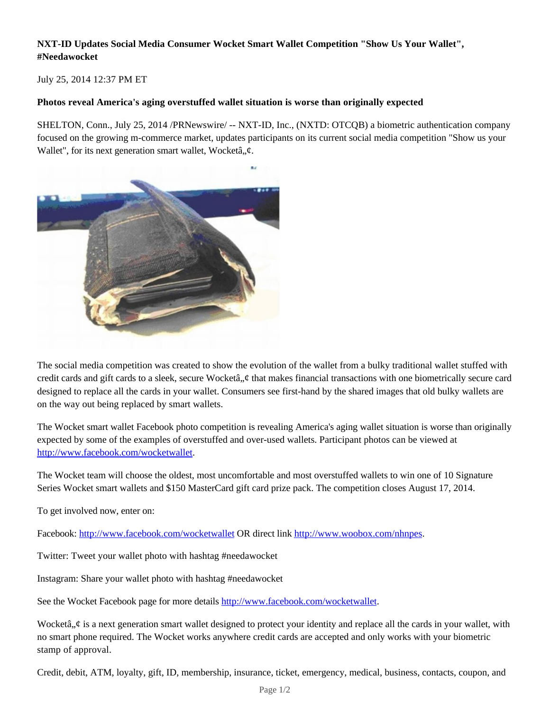# **NXT-ID Updates Social Media Consumer Wocket Smart Wallet Competition "Show Us Your Wallet", #Needawocket**

July 25, 2014 12:37 PM ET

### **Photos reveal America's aging overstuffed wallet situation is worse than originally expected**

SHELTON, Conn., July 25, 2014 /PRNewswire/ -- NXT-ID, Inc., (NXTD: OTCQB) a biometric authentication company focused on the growing m-commerce market, updates participants on its current social media competition "Show us your Wallet", for its next generation smart wallet, Wocketâ,, $\phi$ .



The social media competition was created to show the evolution of the wallet from a bulky traditional wallet stuffed with credit cards and gift cards to a sleek, secure Wocketâ,  $\phi$  that makes financial transactions with one biometrically secure card designed to replace all the cards in your wallet. Consumers see first-hand by the shared images that old bulky wallets are on the way out being replaced by smart wallets.

The Wocket smart wallet Facebook photo competition is revealing America's aging wallet situation is worse than originally expected by some of the examples of overstuffed and over-used wallets. Participant photos can be viewed at http://www.facebook.com/wocketwallet.

The Wocket team will choose the oldest, most uncomfortable and most overstuffed wallets to win one of 10 Signature Series Wocket smart wallets and \$150 MasterCard gift card prize pack. The competition closes August 17, 2014.

To get involved now, enter on:

Facebook: http://www.facebook.com/wocketwallet OR direct link http://www.woobox.com/nhnpes.

Twitter: Tweet your wallet photo with hashtag #needawocket

Instagram: Share your wallet photo with hashtag #needawocket

See the Wocket Facebook page for more details http://www.facebook.com/wocketwallet.

Wocketâ,  $\phi$  is a next generation smart wallet designed to protect your identity and replace all the cards in your wallet, with no smart phone required. The Wocket works anywhere credit cards are accepted and only works with your biometric stamp of approval.

Credit, debit, ATM, loyalty, gift, ID, membership, insurance, ticket, emergency, medical, business, contacts, coupon, and